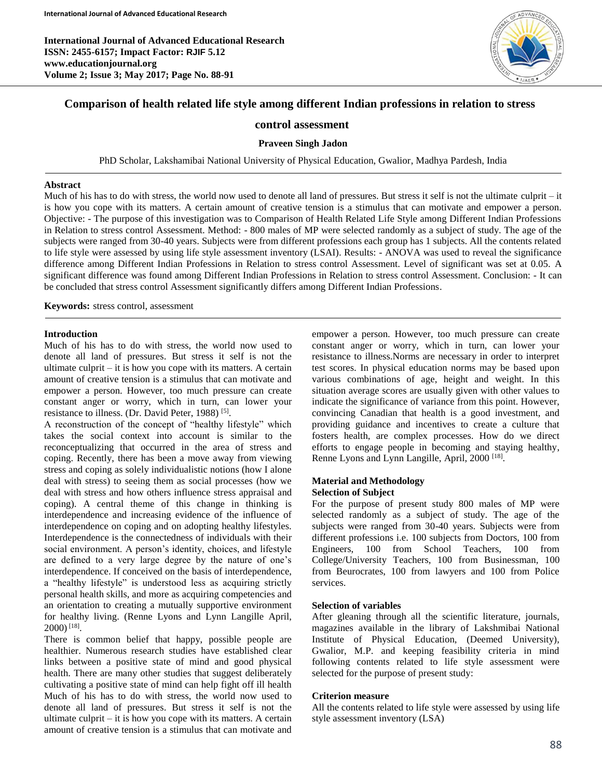

# **Comparison of health related life style among different Indian professions in relation to stress**

## **control assessment**

## **Praveen Singh Jadon**

PhD Scholar, Lakshamibai National University of Physical Education, Gwalior, Madhya Pardesh, India

#### **Abstract**

Much of his has to do with stress, the world now used to denote all land of pressures. But stress it self is not the ultimate culprit – it is how you cope with its matters. A certain amount of creative tension is a stimulus that can motivate and empower a person. Objective: - The purpose of this investigation was to Comparison of Health Related Life Style among Different Indian Professions in Relation to stress control Assessment. Method: - 800 males of MP were selected randomly as a subject of study. The age of the subjects were ranged from 30-40 years. Subjects were from different professions each group has 1 subjects. All the contents related to life style were assessed by using life style assessment inventory (LSAI). Results: - ANOVA was used to reveal the significance difference among Different Indian Professions in Relation to stress control Assessment. Level of significant was set at 0.05. A significant difference was found among Different Indian Professions in Relation to stress control Assessment. Conclusion: - It can be concluded that stress control Assessment significantly differs among Different Indian Professions.

**Keywords:** stress control, assessment

#### **Introduction**

Γ

Much of his has to do with stress, the world now used to denote all land of pressures. But stress it self is not the ultimate culprit – it is how you cope with its matters. A certain amount of creative tension is a stimulus that can motivate and empower a person. However, too much pressure can create constant anger or worry, which in turn, can lower your resistance to illness. (Dr. David Peter, 1988)<sup>[5]</sup>.

A reconstruction of the concept of "healthy lifestyle" which takes the social context into account is similar to the reconceptualizing that occurred in the area of stress and coping. Recently, there has been a move away from viewing stress and coping as solely individualistic notions (how I alone deal with stress) to seeing them as social processes (how we deal with stress and how others influence stress appraisal and coping). A central theme of this change in thinking is interdependence and increasing evidence of the influence of interdependence on coping and on adopting healthy lifestyles. Interdependence is the connectedness of individuals with their social environment. A person's identity, choices, and lifestyle are defined to a very large degree by the nature of one's interdependence. If conceived on the basis of interdependence, a "healthy lifestyle" is understood less as acquiring strictly personal health skills, and more as acquiring competencies and an orientation to creating a mutually supportive environment for healthy living. (Renne Lyons and Lynn Langille April, 2000) [18] .

There is common belief that happy, possible people are healthier. Numerous research studies have established clear links between a positive state of mind and good physical health. There are many other studies that suggest deliberately cultivating a positive state of mind can help fight off ill health Much of his has to do with stress, the world now used to denote all land of pressures. But stress it self is not the ultimate culprit  $-$  it is how you cope with its matters. A certain amount of creative tension is a stimulus that can motivate and

empower a person. However, too much pressure can create constant anger or worry, which in turn, can lower your resistance to illness.Norms are necessary in order to interpret test scores. In physical education norms may be based upon various combinations of age, height and weight. In this situation average scores are usually given with other values to indicate the significance of variance from this point. However, convincing Canadian that health is a good investment, and providing guidance and incentives to create a culture that fosters health, are complex processes. How do we direct efforts to engage people in becoming and staying healthy, Renne Lyons and Lynn Langille, April, 2000<sup>[18]</sup>.

## **Material and Methodology Selection of Subject**

For the purpose of present study 800 males of MP were selected randomly as a subject of study. The age of the subjects were ranged from 30-40 years. Subjects were from different professions i.e. 100 subjects from Doctors, 100 from Engineers, 100 from School Teachers, 100 from College/University Teachers, 100 from Businessman, 100 from Beurocrates, 100 from lawyers and 100 from Police services.

## **Selection of variables**

After gleaning through all the scientific literature, journals, magazines available in the library of Lakshmibai National Institute of Physical Education, (Deemed University), Gwalior, M.P. and keeping feasibility criteria in mind following contents related to life style assessment were selected for the purpose of present study:

#### **Criterion measure**

All the contents related to life style were assessed by using life style assessment inventory (LSA)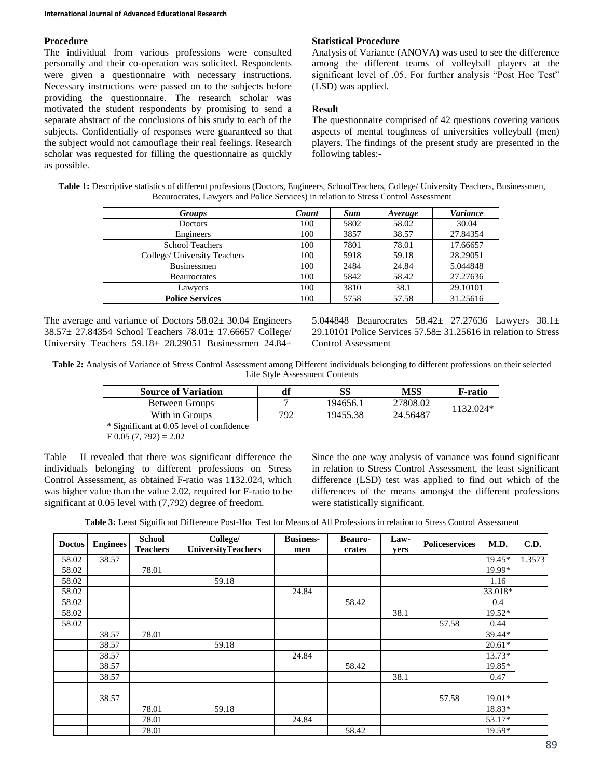## **Procedure**

The individual from various professions were consulted personally and their co-operation was solicited. Respondents were given a questionnaire with necessary instructions. Necessary instructions were passed on to the subjects before providing the questionnaire. The research scholar was motivated the student respondents by promising to send a separate abstract of the conclusions of his study to each of the subjects. Confidentially of responses were guaranteed so that the subject would not camouflage their real feelings. Research scholar was requested for filling the questionnaire as quickly as possible.

### **Statistical Procedure**

Analysis of Variance (ANOVA) was used to see the difference among the different teams of volleyball players at the significant level of .05. For further analysis "Post Hoc Test" (LSD) was applied.

## **Result**

The questionnaire comprised of 42 questions covering various aspects of mental toughness of universities volleyball (men) players. The findings of the present study are presented in the following tables:-

| Table 1: Descriptive statistics of different professions (Doctors, Engineers, SchoolTeachers, College/ University Teachers, Businessmen, |  |
|------------------------------------------------------------------------------------------------------------------------------------------|--|
| Beaurocrates, Lawyers and Police Services) in relation to Stress Control Assessment                                                      |  |
|                                                                                                                                          |  |

| <b>Groups</b>                | Count | <b>Sum</b> | Average | <b>Variance</b> |  |
|------------------------------|-------|------------|---------|-----------------|--|
| <b>Doctors</b>               | 100   | 5802       | 58.02   | 30.04           |  |
| Engineers                    | 100   | 3857       | 38.57   | 27.84354        |  |
| <b>School Teachers</b>       | 100   | 7801       | 78.01   | 17.66657        |  |
| College/ University Teachers | 100   | 5918       | 59.18   | 28.29051        |  |
| <b>Businessmen</b>           | 100   | 2484       | 24.84   | 5.044848        |  |
| <b>Beaurocrates</b>          | 100   | 5842       | 58.42   | 27.27636        |  |
| Lawvers                      | 100   | 3810       | 38.1    | 29.10101        |  |
| <b>Police Services</b>       | 100   | 5758       | 57.58   | 31.25616        |  |

The average and variance of Doctors 58.02± 30.04 Engineers 38.57± 27.84354 School Teachers 78.01± 17.66657 College/ University Teachers 59.18± 28.29051 Businessmen 24.84± 5.044848 Beaurocrates 58.42± 27.27636 Lawyers 38.1± 29.10101 Police Services 57.58± 31.25616 in relation to Stress Control Assessment

**Table 2:** Analysis of Variance of Stress Control Assessment among Different individuals belonging to different professions on their selected Life Style Assessment Contents

| <b>Source of Variation</b>                                          | df  | SS       | MSS      | F-ratio   |
|---------------------------------------------------------------------|-----|----------|----------|-----------|
| Between Groups                                                      |     | 194656.1 | 27808.02 | 1132.024* |
| With in Groups                                                      | 792 | 19455.38 | 24.56487 |           |
| $\cdots$ $\sim$ $\sim$<br>$\sim$ $\sim$ $\sim$ $\sim$ $\sim$ $\sim$ |     |          |          |           |

\* Significant at 0.05 level of confidence

 $F\ 0.05\ (7, 792) = 2.02$ 

Table – II revealed that there was significant difference the individuals belonging to different professions on Stress Control Assessment, as obtained F-ratio was 1132.024, which was higher value than the value 2.02, required for F-ratio to be significant at 0.05 level with (7,792) degree of freedom.

Since the one way analysis of variance was found significant in relation to Stress Control Assessment, the least significant difference (LSD) test was applied to find out which of the differences of the means amongst the different professions were statistically significant.

**Table 3:** Least Significant Difference Post-Hoc Test for Means of All Professions in relation to Stress Control Assessment

| <b>Doctos</b> | <b>Enginees</b> | <b>School</b><br><b>Teachers</b> | College/<br><b>UniversityTeachers</b> | <b>Business-</b> | <b>Beauro-</b><br>crates | Law- | <b>Policeservices</b> | M.D.     | C.D.   |
|---------------|-----------------|----------------------------------|---------------------------------------|------------------|--------------------------|------|-----------------------|----------|--------|
| 58.02         | 38.57           |                                  |                                       | men              |                          | vers |                       | 19.45*   | 1.3573 |
|               |                 |                                  |                                       |                  |                          |      |                       |          |        |
| 58.02         |                 | 78.01                            |                                       |                  |                          |      |                       | 19.99*   |        |
| 58.02         |                 |                                  | 59.18                                 |                  |                          |      |                       | 1.16     |        |
| 58.02         |                 |                                  |                                       | 24.84            |                          |      |                       | 33.018*  |        |
| 58.02         |                 |                                  |                                       |                  | 58.42                    |      |                       | 0.4      |        |
| 58.02         |                 |                                  |                                       |                  |                          | 38.1 |                       | 19.52*   |        |
| 58.02         |                 |                                  |                                       |                  |                          |      | 57.58                 | 0.44     |        |
|               | 38.57           | 78.01                            |                                       |                  |                          |      |                       | 39.44*   |        |
|               | 38.57           |                                  | 59.18                                 |                  |                          |      |                       | $20.61*$ |        |
|               | 38.57           |                                  |                                       | 24.84            |                          |      |                       | 13.73*   |        |
|               | 38.57           |                                  |                                       |                  | 58.42                    |      |                       | 19.85*   |        |
|               | 38.57           |                                  |                                       |                  |                          | 38.1 |                       | 0.47     |        |
|               |                 |                                  |                                       |                  |                          |      |                       |          |        |
|               | 38.57           |                                  |                                       |                  |                          |      | 57.58                 | 19.01*   |        |
|               |                 | 78.01                            | 59.18                                 |                  |                          |      |                       | 18.83*   |        |
|               |                 | 78.01                            |                                       | 24.84            |                          |      |                       | 53.17*   |        |
|               |                 | 78.01                            |                                       |                  | 58.42                    |      |                       | 19.59*   |        |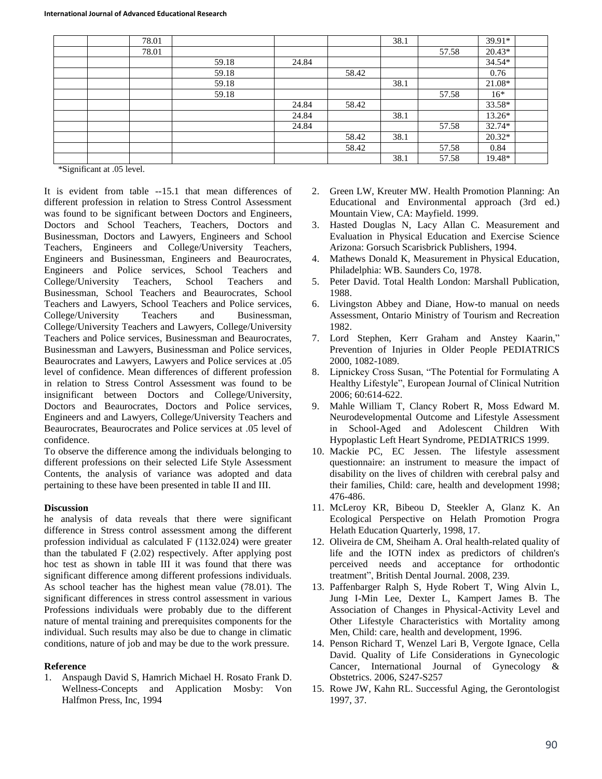| 78.01 |       |       |       | 38.1 |       | 39.91*   |  |
|-------|-------|-------|-------|------|-------|----------|--|
| 78.01 |       |       |       |      | 57.58 | 20.43*   |  |
|       | 59.18 | 24.84 |       |      |       | 34.54*   |  |
|       | 59.18 |       | 58.42 |      |       | 0.76     |  |
|       | 59.18 |       |       | 38.1 |       | 21.08*   |  |
|       | 59.18 |       |       |      | 57.58 | $16*$    |  |
|       |       | 24.84 | 58.42 |      |       | 33.58*   |  |
|       |       | 24.84 |       | 38.1 |       | 13.26*   |  |
|       |       | 24.84 |       |      | 57.58 | 32.74*   |  |
|       |       |       | 58.42 | 38.1 |       | $20.32*$ |  |
|       |       |       | 58.42 |      | 57.58 | 0.84     |  |
|       |       |       |       | 38.1 | 57.58 | 19.48*   |  |

\*Significant at .05 level.

It is evident from table --15.1 that mean differences of different profession in relation to Stress Control Assessment was found to be significant between Doctors and Engineers, Doctors and School Teachers, Teachers, Doctors and Businessman, Doctors and Lawyers, Engineers and School Teachers, Engineers and College/University Teachers, Engineers and Businessman, Engineers and Beaurocrates, Engineers and Police services, School Teachers and College/University Teachers, School Teachers and Businessman, School Teachers and Beaurocrates, School Teachers and Lawyers, School Teachers and Police services, College/University Teachers and Businessman, College/University Teachers and Lawyers, College/University Teachers and Police services, Businessman and Beaurocrates, Businessman and Lawyers, Businessman and Police services, Beaurocrates and Lawyers, Lawyers and Police services at .05 level of confidence. Mean differences of different profession in relation to Stress Control Assessment was found to be insignificant between Doctors and College/University, Doctors and Beaurocrates, Doctors and Police services, Engineers and and Lawyers, College/University Teachers and Beaurocrates, Beaurocrates and Police services at .05 level of confidence.

To observe the difference among the individuals belonging to different professions on their selected Life Style Assessment Contents, the analysis of variance was adopted and data pertaining to these have been presented in table II and III.

#### **Discussion**

he analysis of data reveals that there were significant difference in Stress control assessment among the different profession individual as calculated F (1132.024) were greater than the tabulated F (2.02) respectively. After applying post hoc test as shown in table III it was found that there was significant difference among different professions individuals. As school teacher has the highest mean value (78.01). The significant differences in stress control assessment in various Professions individuals were probably due to the different nature of mental training and prerequisites components for the individual. Such results may also be due to change in climatic conditions, nature of job and may be due to the work pressure.

#### **Reference**

1. Anspaugh David S, Hamrich Michael H. Rosato Frank D. Wellness-Concepts and Application Mosby: Von Halfmon Press, Inc, 1994

- 2. Green LW, Kreuter MW. Health Promotion Planning: An Educational and Environmental approach (3rd ed.) Mountain View, CA: Mayfield. 1999.
- 3. Hasted Douglas N, Lacy Allan C. Measurement and Evaluation in Physical Education and Exercise Science Arizona: Gorsuch Scarisbrick Publishers, 1994.
- 4. Mathews Donald K, Measurement in Physical Education, Philadelphia: WB. Saunders Co, 1978.
- 5. Peter David. Total Health London: Marshall Publication, 1988.
- 6. Livingston Abbey and Diane, How-to manual on needs Assessment, Ontario Ministry of Tourism and Recreation 1982.
- 7. Lord Stephen, Kerr Graham and Anstey Kaarin," Prevention of Injuries in Older People PEDIATRICS 2000, 1082-1089.
- 8. Lipnickey Cross Susan, "The Potential for Formulating A Healthy Lifestyle", European Journal of Clinical Nutrition 2006; 60:614-622.
- 9. Mahle William T, Clancy Robert R, Moss Edward M. Neurodevelopmental Outcome and Lifestyle Assessment in School-Aged and Adolescent Children With Hypoplastic Left Heart Syndrome, PEDIATRICS 1999.
- 10. Mackie PC, EC Jessen. The lifestyle assessment questionnaire: an instrument to measure the impact of disability on the lives of children with cerebral palsy and their families, Child: care, health and development 1998; 476-486.
- 11. McLeroy KR, Bibeou D, Steekler A, Glanz K. An Ecological Perspective on Helath Promotion Progra Helath Education Quarterly, 1998, 17.
- 12. Oliveira de CM, Sheiham A. Oral health-related quality of life and the IOTN index as predictors of children's perceived needs and acceptance for orthodontic treatment", British Dental Journal. 2008, 239.
- 13. Paffenbarger Ralph S, Hyde Robert T, Wing Alvin L, Jung I-Min Lee, Dexter L, Kampert James B. The Association of Changes in Physical-Activity Level and Other Lifestyle Characteristics with Mortality among Men, Child: care, health and development, 1996.
- 14. Penson Richard T, Wenzel Lari B, Vergote Ignace, Cella David. Quality of Life Considerations in Gynecologic Cancer, International Journal of Gynecology & Obstetrics. 2006, S247-S257
- 15. Rowe JW, Kahn RL. Successful Aging, the Gerontologist 1997, 37.